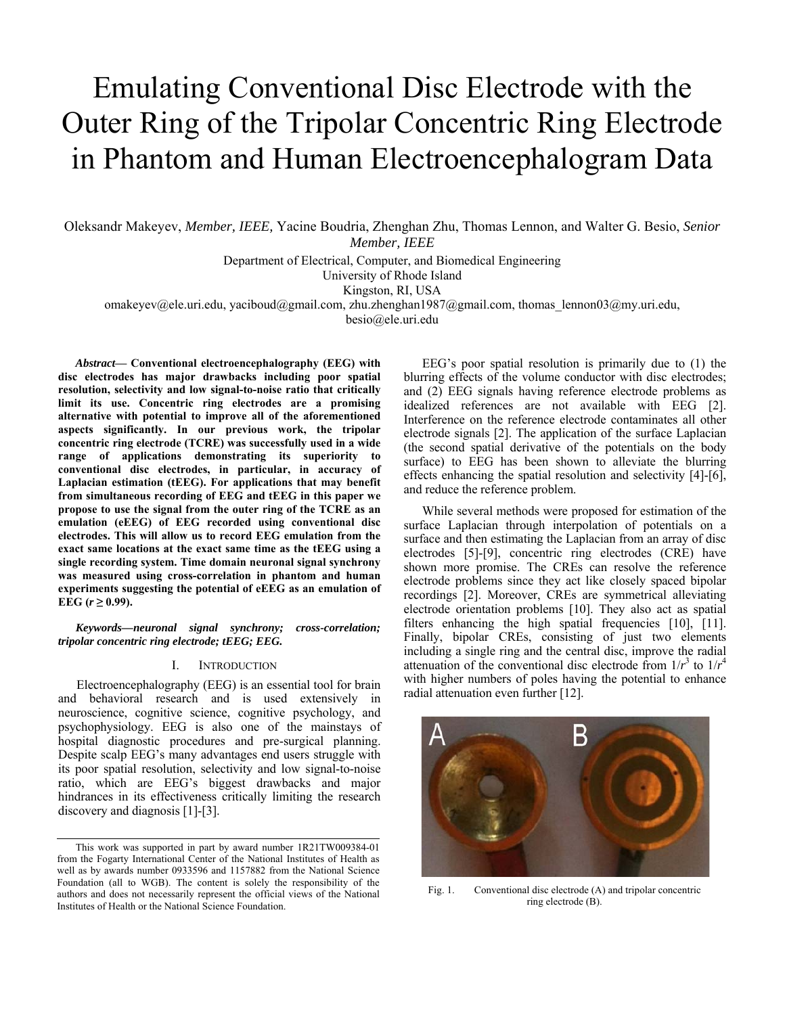# Emulating Conventional Disc Electrode with the Outer Ring of the Tripolar Concentric Ring Electrode in Phantom and Human Electroencephalogram Data

Oleksandr Makeyev, *Member, IEEE,* Yacine Boudria, Zhenghan Zhu, Thomas Lennon, and Walter G. Besio, *Senior Member, IEEE*

Department of Electrical, Computer, and Biomedical Engineering

University of Rhode Island

Kingston, RI, USA

omakeyev@ele.uri.edu, yaciboud@gmail.com, zhu.zhenghan1987@gmail.com, thomas\_lennon03@my.uri.edu,

besio@ele.uri.edu

*Abstract***— Conventional electroencephalography (EEG) with disc electrodes has major drawbacks including poor spatial resolution, selectivity and low signal-to-noise ratio that critically limit its use. Concentric ring electrodes are a promising alternative with potential to improve all of the aforementioned aspects significantly. In our previous work, the tripolar concentric ring electrode (TCRE) was successfully used in a wide range of applications demonstrating its superiority to conventional disc electrodes, in particular, in accuracy of Laplacian estimation (tEEG). For applications that may benefit from simultaneous recording of EEG and tEEG in this paper we propose to use the signal from the outer ring of the TCRE as an emulation (eEEG) of EEG recorded using conventional disc electrodes. This will allow us to record EEG emulation from the exact same locations at the exact same time as the tEEG using a single recording system. Time domain neuronal signal synchrony was measured using cross-correlation in phantom and human experiments suggesting the potential of eEEG as an emulation of**   $EEG (r ≥ 0.99)$ .

*Keywords—neuronal signal synchrony; cross-correlation; tripolar concentric ring electrode; tEEG; EEG.* 

#### I. INTRODUCTION

Electroencephalography (EEG) is an essential tool for brain and behavioral research and is used extensively in neuroscience, cognitive science, cognitive psychology, and psychophysiology. EEG is also one of the mainstays of hospital diagnostic procedures and pre-surgical planning. Despite scalp EEG's many advantages end users struggle with its poor spatial resolution, selectivity and low signal-to-noise ratio, which are EEG's biggest drawbacks and major hindrances in its effectiveness critically limiting the research discovery and diagnosis [1]-[3].

EEG's poor spatial resolution is primarily due to (1) the blurring effects of the volume conductor with disc electrodes; and (2) EEG signals having reference electrode problems as idealized references are not available with EEG [2]. Interference on the reference electrode contaminates all other electrode signals [2]. The application of the surface Laplacian (the second spatial derivative of the potentials on the body surface) to EEG has been shown to alleviate the blurring effects enhancing the spatial resolution and selectivity [4]-[6], and reduce the reference problem.

While several methods were proposed for estimation of the surface Laplacian through interpolation of potentials on a surface and then estimating the Laplacian from an array of disc electrodes [5]-[9], concentric ring electrodes (CRE) have shown more promise. The CREs can resolve the reference electrode problems since they act like closely spaced bipolar recordings [2]. Moreover, CREs are symmetrical alleviating electrode orientation problems [10]. They also act as spatial filters enhancing the high spatial frequencies [10], [11]. Finally, bipolar CREs, consisting of just two elements including a single ring and the central disc, improve the radial attenuation of the conventional disc electrode from  $1/r^3$  to  $1/r^4$ with higher numbers of poles having the potential to enhance radial attenuation even further [12].



Fig. 1. Conventional disc electrode (A) and tripolar concentric ring electrode (B).

This work was supported in part by award number 1R21TW009384-01 from the Fogarty International Center of the National Institutes of Health as well as by awards number 0933596 and 1157882 from the National Science Foundation (all to WGB). The content is solely the responsibility of the authors and does not necessarily represent the official views of the National Institutes of Health or the National Science Foundation.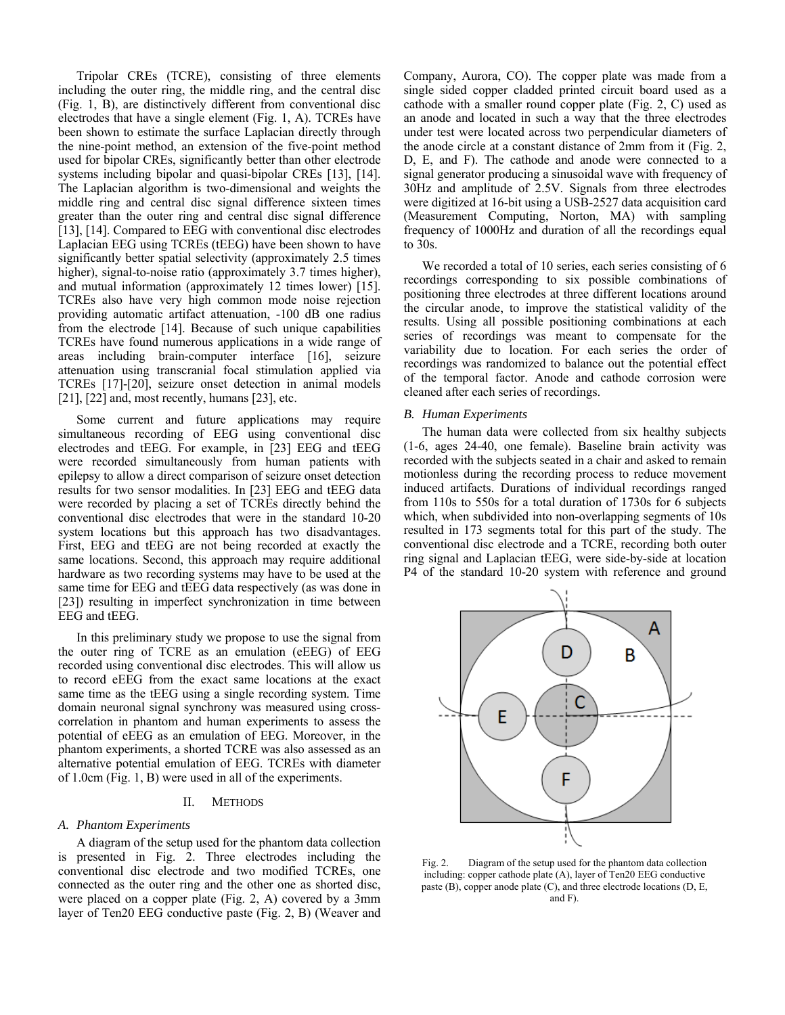Tripolar CREs (TCRE), consisting of three elements including the outer ring, the middle ring, and the central disc (Fig. 1, B), are distinctively different from conventional disc electrodes that have a single element (Fig. 1, A). TCREs have been shown to estimate the surface Laplacian directly through the nine-point method, an extension of the five-point method used for bipolar CREs, significantly better than other electrode systems including bipolar and quasi-bipolar CREs [13], [14]. The Laplacian algorithm is two-dimensional and weights the middle ring and central disc signal difference sixteen times greater than the outer ring and central disc signal difference [13], [14]. Compared to EEG with conventional disc electrodes Laplacian EEG using TCREs (tEEG) have been shown to have significantly better spatial selectivity (approximately 2.5 times higher), signal-to-noise ratio (approximately 3.7 times higher), and mutual information (approximately 12 times lower) [15]. TCREs also have very high common mode noise rejection providing automatic artifact attenuation, -100 dB one radius from the electrode [14]. Because of such unique capabilities TCREs have found numerous applications in a wide range of areas including brain-computer interface [16], seizure attenuation using transcranial focal stimulation applied via TCREs [17]-[20], seizure onset detection in animal models  $[21]$ ,  $[22]$  and, most recently, humans  $[23]$ , etc.

Some current and future applications may require simultaneous recording of EEG using conventional disc electrodes and tEEG. For example, in [23] EEG and tEEG were recorded simultaneously from human patients with epilepsy to allow a direct comparison of seizure onset detection results for two sensor modalities. In [23] EEG and tEEG data were recorded by placing a set of TCREs directly behind the conventional disc electrodes that were in the standard 10-20 system locations but this approach has two disadvantages. First, EEG and tEEG are not being recorded at exactly the same locations. Second, this approach may require additional hardware as two recording systems may have to be used at the same time for EEG and tEEG data respectively (as was done in [23]) resulting in imperfect synchronization in time between EEG and tEEG.

 In this preliminary study we propose to use the signal from the outer ring of TCRE as an emulation (eEEG) of EEG recorded using conventional disc electrodes. This will allow us to record eEEG from the exact same locations at the exact same time as the tEEG using a single recording system. Time domain neuronal signal synchrony was measured using crosscorrelation in phantom and human experiments to assess the potential of eEEG as an emulation of EEG. Moreover, in the phantom experiments, a shorted TCRE was also assessed as an alternative potential emulation of EEG. TCREs with diameter of 1.0cm (Fig. 1, B) were used in all of the experiments.

# II. METHODS

## *A. Phantom Experiments*

A diagram of the setup used for the phantom data collection is presented in Fig. 2. Three electrodes including the conventional disc electrode and two modified TCREs, one connected as the outer ring and the other one as shorted disc, were placed on a copper plate (Fig. 2, A) covered by a 3mm layer of Ten20 EEG conductive paste (Fig. 2, B) (Weaver and

Company, Aurora, CO). The copper plate was made from a single sided copper cladded printed circuit board used as a cathode with a smaller round copper plate (Fig. 2, C) used as an anode and located in such a way that the three electrodes under test were located across two perpendicular diameters of the anode circle at a constant distance of 2mm from it (Fig. 2, D, E, and F). The cathode and anode were connected to a signal generator producing a sinusoidal wave with frequency of 30Hz and amplitude of 2.5V. Signals from three electrodes were digitized at 16-bit using a USB-2527 data acquisition card (Measurement Computing, Norton, MA) with sampling frequency of 1000Hz and duration of all the recordings equal to 30s.

We recorded a total of 10 series, each series consisting of 6 recordings corresponding to six possible combinations of positioning three electrodes at three different locations around the circular anode, to improve the statistical validity of the results. Using all possible positioning combinations at each series of recordings was meant to compensate for the variability due to location. For each series the order of recordings was randomized to balance out the potential effect of the temporal factor. Anode and cathode corrosion were cleaned after each series of recordings.

### *B. Human Experiments*

The human data were collected from six healthy subjects (1-6, ages 24-40, one female). Baseline brain activity was recorded with the subjects seated in a chair and asked to remain motionless during the recording process to reduce movement induced artifacts. Durations of individual recordings ranged from 110s to 550s for a total duration of 1730s for 6 subjects which, when subdivided into non-overlapping segments of 10s resulted in 173 segments total for this part of the study. The conventional disc electrode and a TCRE, recording both outer ring signal and Laplacian tEEG, were side-by-side at location P4 of the standard 10-20 system with reference and ground



Fig. 2. Diagram of the setup used for the phantom data collection including: copper cathode plate (A), layer of Ten20 EEG conductive paste (B), copper anode plate (C), and three electrode locations (D, E, and F).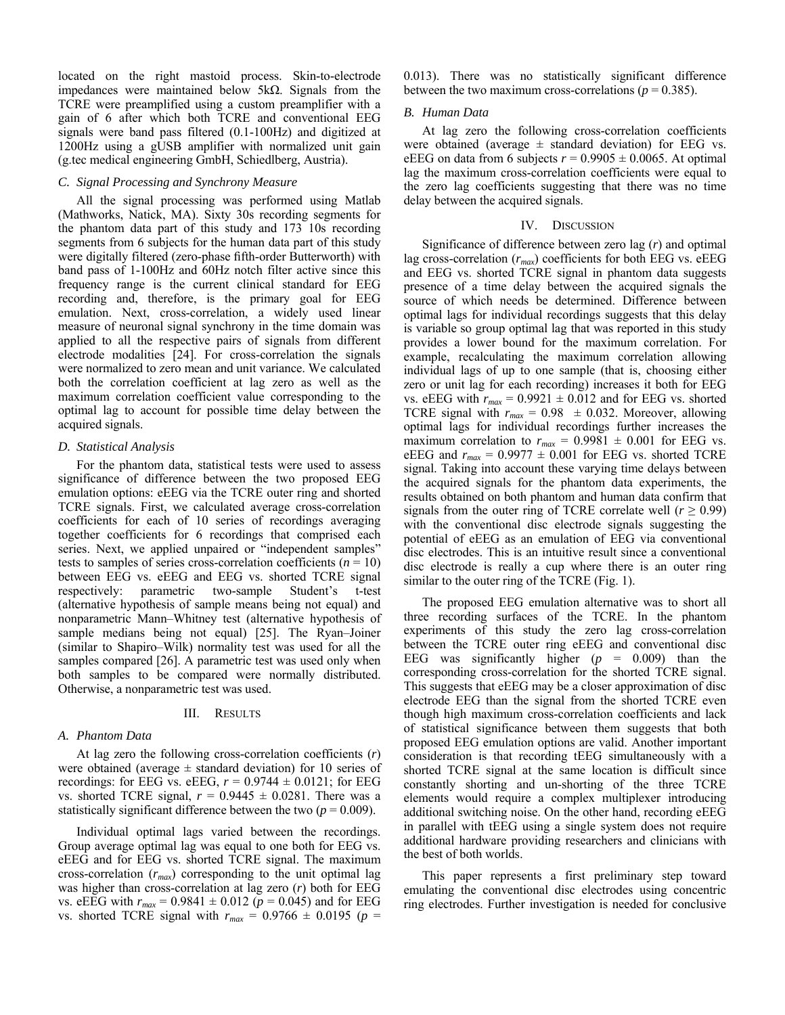located on the right mastoid process. Skin-to-electrode impedances were maintained below 5kΩ. Signals from the TCRE were preamplified using a custom preamplifier with a gain of 6 after which both TCRE and conventional EEG signals were band pass filtered (0.1-100Hz) and digitized at 1200Hz using a gUSB amplifier with normalized unit gain (g.tec medical engineering GmbH, Schiedlberg, Austria).

## *C. Signal Processing and Synchrony Measure*

All the signal processing was performed using Matlab (Mathworks, Natick, MA). Sixty 30s recording segments for the phantom data part of this study and 173 10s recording segments from 6 subjects for the human data part of this study were digitally filtered (zero-phase fifth-order Butterworth) with band pass of 1-100Hz and 60Hz notch filter active since this frequency range is the current clinical standard for EEG recording and, therefore, is the primary goal for EEG emulation. Next, cross-correlation, a widely used linear measure of neuronal signal synchrony in the time domain was applied to all the respective pairs of signals from different electrode modalities [24]. For cross-correlation the signals were normalized to zero mean and unit variance. We calculated both the correlation coefficient at lag zero as well as the maximum correlation coefficient value corresponding to the optimal lag to account for possible time delay between the acquired signals.

## *D. Statistical Analysis*

For the phantom data, statistical tests were used to assess significance of difference between the two proposed EEG emulation options: eEEG via the TCRE outer ring and shorted TCRE signals. First, we calculated average cross-correlation coefficients for each of 10 series of recordings averaging together coefficients for 6 recordings that comprised each series. Next, we applied unpaired or "independent samples" tests to samples of series cross-correlation coefficients  $(n = 10)$ between EEG vs. eEEG and EEG vs. shorted TCRE signal respectively: parametric two-sample Student's t-test (alternative hypothesis of sample means being not equal) and nonparametric Mann–Whitney test (alternative hypothesis of sample medians being not equal) [25]. The Ryan–Joiner (similar to Shapiro–Wilk) normality test was used for all the samples compared [26]. A parametric test was used only when both samples to be compared were normally distributed. Otherwise, a nonparametric test was used.

#### III. RESULTS

#### *A. Phantom Data*

At lag zero the following cross-correlation coefficients (*r*) were obtained (average  $\pm$  standard deviation) for 10 series of recordings: for EEG vs. eEEG, *r* = 0.9744 ± 0.0121; for EEG vs. shorted TCRE signal,  $r = 0.9445 \pm 0.0281$ . There was a statistically significant difference between the two  $(p = 0.009)$ .

Individual optimal lags varied between the recordings. Group average optimal lag was equal to one both for EEG vs. eEEG and for EEG vs. shorted TCRE signal. The maximum cross-correlation (*rmax*) corresponding to the unit optimal lag was higher than cross-correlation at lag zero (*r*) both for EEG vs. eEEG with  $r_{max} = 0.9841 \pm 0.012$  ( $p = 0.045$ ) and for EEG vs. shorted TCRE signal with  $r_{max} = 0.9766 \pm 0.0195$  ( $p =$  0.013). There was no statistically significant difference between the two maximum cross-correlations ( $p = 0.385$ ).

#### *B. Human Data*

At lag zero the following cross-correlation coefficients were obtained (average  $\pm$  standard deviation) for EEG vs. eEEG on data from 6 subjects  $r = 0.9905 \pm 0.0065$ . At optimal lag the maximum cross-correlation coefficients were equal to the zero lag coefficients suggesting that there was no time delay between the acquired signals.

#### IV. DISCUSSION

Significance of difference between zero lag (*r*) and optimal lag cross-correlation (*rmax*) coefficients for both EEG vs. eEEG and EEG vs. shorted TCRE signal in phantom data suggests presence of a time delay between the acquired signals the source of which needs be determined. Difference between optimal lags for individual recordings suggests that this delay is variable so group optimal lag that was reported in this study provides a lower bound for the maximum correlation. For example, recalculating the maximum correlation allowing individual lags of up to one sample (that is, choosing either zero or unit lag for each recording) increases it both for EEG vs. eEEG with  $r_{max} = 0.9921 \pm 0.012$  and for EEG vs. shorted TCRE signal with  $r_{max} = 0.98 \pm 0.032$ . Moreover, allowing optimal lags for individual recordings further increases the maximum correlation to  $r_{max} = 0.9981 \pm 0.001$  for EEG vs. eEEG and  $r_{max}$  = 0.9977  $\pm$  0.001 for EEG vs. shorted TCRE signal. Taking into account these varying time delays between the acquired signals for the phantom data experiments, the results obtained on both phantom and human data confirm that signals from the outer ring of TCRE correlate well ( $r \geq 0.99$ ) with the conventional disc electrode signals suggesting the potential of eEEG as an emulation of EEG via conventional disc electrodes. This is an intuitive result since a conventional disc electrode is really a cup where there is an outer ring similar to the outer ring of the TCRE (Fig. 1).

 The proposed EEG emulation alternative was to short all three recording surfaces of the TCRE. In the phantom experiments of this study the zero lag cross-correlation between the TCRE outer ring eEEG and conventional disc EEG was significantly higher  $(p = 0.009)$  than the corresponding cross-correlation for the shorted TCRE signal. This suggests that eEEG may be a closer approximation of disc electrode EEG than the signal from the shorted TCRE even though high maximum cross-correlation coefficients and lack of statistical significance between them suggests that both proposed EEG emulation options are valid. Another important consideration is that recording tEEG simultaneously with a shorted TCRE signal at the same location is difficult since constantly shorting and un-shorting of the three TCRE elements would require a complex multiplexer introducing additional switching noise. On the other hand, recording eEEG in parallel with tEEG using a single system does not require additional hardware providing researchers and clinicians with the best of both worlds.

This paper represents a first preliminary step toward emulating the conventional disc electrodes using concentric ring electrodes. Further investigation is needed for conclusive